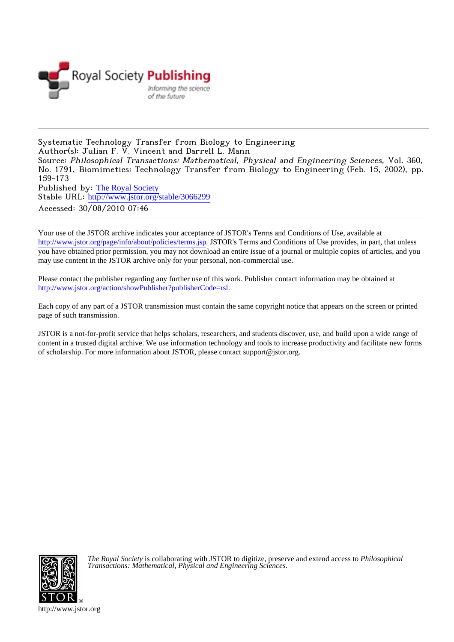

Systematic Technology Transfer from Biology to Engineering Author(s): Julian F. V. Vincent and Darrell L. Mann Source: Philosophical Transactions: Mathematical, Physical and Engineering Sciences, Vol. 360, No. 1791, Biomimetics: Technology Transfer from Biology to Engineering (Feb. 15, 2002), pp. 159-173 Published by: [The Royal Society](http://www.jstor.org/action/showPublisher?publisherCode=rsl) Stable URL: [http://www.jstor.org/stable/3066299](http://www.jstor.org/stable/3066299?origin=JSTOR-pdf) Accessed: 30/08/2010 07:46

Your use of the JSTOR archive indicates your acceptance of JSTOR's Terms and Conditions of Use, available at <http://www.jstor.org/page/info/about/policies/terms.jsp>. JSTOR's Terms and Conditions of Use provides, in part, that unless you have obtained prior permission, you may not download an entire issue of a journal or multiple copies of articles, and you may use content in the JSTOR archive only for your personal, non-commercial use.

Please contact the publisher regarding any further use of this work. Publisher contact information may be obtained at [http://www.jstor.org/action/showPublisher?publisherCode=rsl.](http://www.jstor.org/action/showPublisher?publisherCode=rsl)

Each copy of any part of a JSTOR transmission must contain the same copyright notice that appears on the screen or printed page of such transmission.

JSTOR is a not-for-profit service that helps scholars, researchers, and students discover, use, and build upon a wide range of content in a trusted digital archive. We use information technology and tools to increase productivity and facilitate new forms of scholarship. For more information about JSTOR, please contact support@jstor.org.



*The Royal Society* is collaborating with JSTOR to digitize, preserve and extend access to *Philosophical Transactions: Mathematical, Physical and Engineering Sciences.*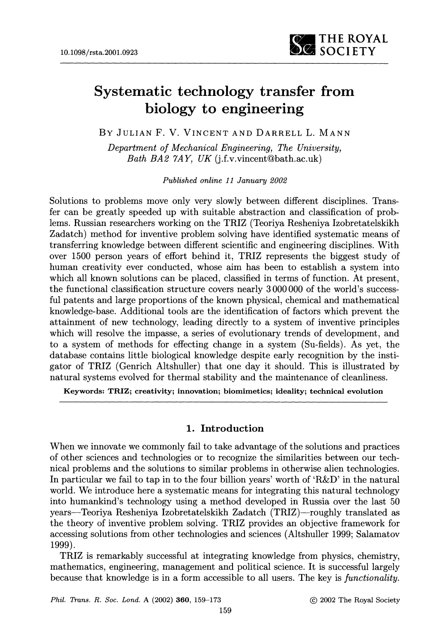

# **Systematic technology transfer from biology to engineering**

**BY JULIAN F. V. VINCENT AND DARRELL L. MANN** 

**Department of Mechanical Engineering, The University, Bath BA2 7AY, UK (j.f.v.vincent@bath.ac.uk)** 

**Published online 11 January 2002** 

**Solutions to problems move only very slowly between different disciplines. Transfer can be greatly speeded up with suitable abstraction and classification of problems. Russian researchers working on the TRIZ (Teoriya Resheniya Izobretatelskikh Zadatch) method for inventive problem solving have identified systematic means of transferring knowledge between different scientific and engineering disciplines. With over 1500 person years of effort behind it, TRIZ represents the biggest study of human creativity ever conducted, whose aim has been to establish a system into which all known solutions can be placed, classified in terms of function. At present, the functional classification structure covers nearly 3000000 of the world's successful patents and large proportions of the known physical, chemical and mathematical knowledge-base. Additional tools are the identification of factors which prevent the attainment of new technology, leading directly to a system of inventive principles which will resolve the impasse, a series of evolutionary trends of development, and to a system of methods for effecting change in a system (Su-fields). As yet, the database contains little biological knowledge despite early recognition by the instigator of TRIZ (Genrich Altshuller) that one day it should. This is illustrated by natural systems evolved for thermal stability and the maintenance of cleanliness.** 

**Keywords: TRIZ; creativity; innovation; biomimetics; ideality; technical evolution** 

### **1. Introduction**

**When we innovate we commonly fail to take advantage of the solutions and practices of other sciences and technologies or to recognize the similarities between our technical problems and the solutions to similar problems in otherwise alien technologies. In particular we fail to tap in to the four billion years' worth of 'R&D' in the natural world. We introduce here a systematic means for integrating this natural technology into humankind's technology using a method developed in Russia over the last 50 years-Teoriya Resheniya Izobretatelskikh Zadatch (TRIZ)-roughly translated as the theory of inventive problem solving. TRIZ provides an objective framework for accessing solutions from other technologies and sciences (Altshuller 1999; Salamatov 1999).** 

**TRIZ is remarkably successful at integrating knowledge from physics, chemistry, mathematics, engineering, management and political science. It is successful largely because that knowledge is in a form accessible to all users. The key is functionality.** 

**Phil. Trans. R. Soc. Lond. A (2002) 360, 159-173**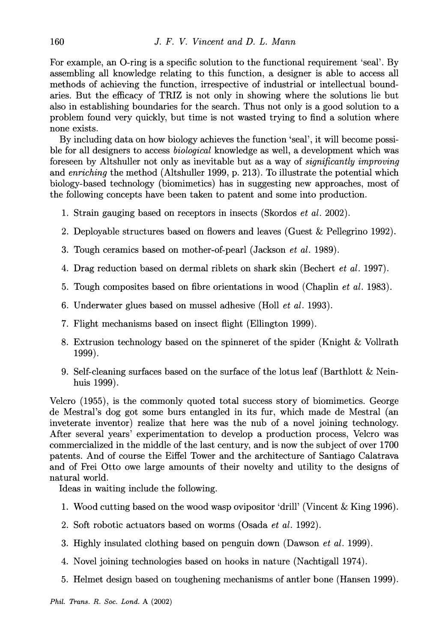**For example, an 0-ring is a specific solution to the functional requirement 'seal'. By assembling all knowledge relating to this function, a designer is able to access all methods of achieving the function, irrespective of industrial or intellectual boundaries. But the efficacy of TRIZ is not only in showing where the solutions lie but also in establishing boundaries for the search. Thus not only is a good solution to a problem found very quickly, but time is not wasted trying to find a solution where none exists.** 

**By including data on how biology achieves the function 'seal', it will become possible for all designers to access biological knowledge as well, a development which was foreseen by Altshuller not only as inevitable but as a way of significantly improving and enriching the method (Altshuller 1999, p. 213). To illustrate the potential which biology-based technology (biomimetics) has in suggesting new approaches, most of the following concepts have been taken to patent and some into production.** 

- **1. Strain gauging based on receptors in insects (Skordos et al. 2002).**
- **2. Deployable structures based on flowers and leaves (Guest & Pellegrino 1992).**
- **3. Tough ceramics based on mother-of-pearl (Jackson et al. 1989).**
- **4. Drag reduction based on dermal riblets on shark skin (Bechert et al. 1997).**
- **5. Tough composites based on fibre orientations in wood (Chaplin et al. 1983).**
- **6. Underwater glues based on mussel adhesive (Holl et al. 1993).**
- **7. Flight mechanisms based on insect flight (Ellington 1999).**
- **8. Extrusion technology based on the spinneret of the spider (Knight & Vollrath 1999).**
- **9. Self-cleaning surfaces based on the surface of the lotus leaf (Barthlott & Neinhuis 1999).**

**Velcro (1955), is the commonly quoted total success story of biomimetics. George de Mestral's dog got some burs entangled in its fur, which made de Mestral (an inveterate inventor) realize that here was the nub of a novel joining technology. After several years' experimentation to develop a production process, Velcro was commercialized in the middle of the last century, and is now the subject of over 1700 patents. And of course the Eiffel Tower and the architecture of Santiago Calatrava and of Frei Otto owe large amounts of their novelty and utility to the designs of natural world.** 

**Ideas in waiting include the following.** 

- **1. Wood cutting based on the wood wasp ovipositor 'drill' (Vincent & King 1996).**
- **2. Soft robotic actuators based on worms (Osada et al. 1992).**
- **3. Highly insulated clothing based on penguin down (Dawson et al. 1999).**
- **4. Novel joining technologies based on hooks in nature (Nachtigall 1974).**
- **5. Helmet design based on toughening mechanisms of antler bone (Hansen 1999).**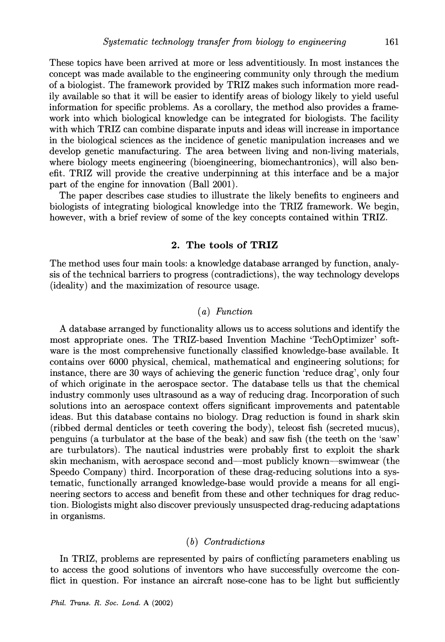**These topics have been arrived at more or less adventitiously. In most instances the concept was made available to the engineering community only through the medium of a biologist. The framework provided by TRIZ makes such information more readily available so that it will be easier to identify areas of biology likely to yield useful information for specific problems. As a corollary, the method also provides a framework into which biological knowledge can be integrated for biologists. The facility with which TRIZ can combine disparate inputs and ideas will increase in importance in the biological sciences as the incidence of genetic manipulation increases and we develop genetic manufacturing. The area between living and non-living materials, where biology meets engineering (bioengineering, biomechantronics), will also benefit. TRIZ will provide the creative underpinning at this interface and be a major part of the engine for innovation (Ball 2001).** 

**The paper describes case studies to illustrate the likely benefits to engineers and biologists of integrating biological knowledge into the TRIZ framework. We begin, however, with a brief review of some of the key concepts contained within TRIZ.** 

### **2. The tools of TRIZ**

**The method uses four main tools: a knowledge database arranged by function, analysis of the technical barriers to progress (contradictions), the way technology develops (ideality) and the maximization of resource usage.** 

### **(a) Function**

**A database arranged by functionality allows us to access solutions and identify the most appropriate ones. The TRIZ-based Invention Machine 'TechOptimizer' software is the most comprehensive functionally classified knowledge-base available. It contains over 6000 physical, chemical, mathematical and engineering solutions; for instance, there are 30 ways of achieving the generic function 'reduce drag', only four of which originate in the aerospace sector. The database tells us that the chemical industry commonly uses ultrasound as a way of reducing drag. Incorporation of such solutions into an aerospace context offers significant improvements and patentable ideas. But this database contains no biology. Drag reduction is found in shark skin (ribbed dermal denticles or teeth covering the body), teleost fish (secreted mucus), penguins (a turbulator at the base of the beak) and saw fish (the teeth on the 'saw' are turbulators). The nautical industries were probably first to exploit the shark skin mechanism, with aerospace second and-most publicly known-swimwear (the Speedo Company) third. Incorporation of these drag-reducing solutions into a systematic, functionally arranged knowledge-base would provide a means for all engineering sectors to access and benefit from these and other techniques for drag reduction. Biologists might also discover previously unsuspected drag-reducing adaptations in organisms.** 

### **(b) Contradictions**

**In TRIZ, problems are represented by pairs of conflicting parameters enabling us to access the good solutions of inventors who have successfully overcome the conflict in question. For instance an aircraft nose-cone has to be light but sufficiently**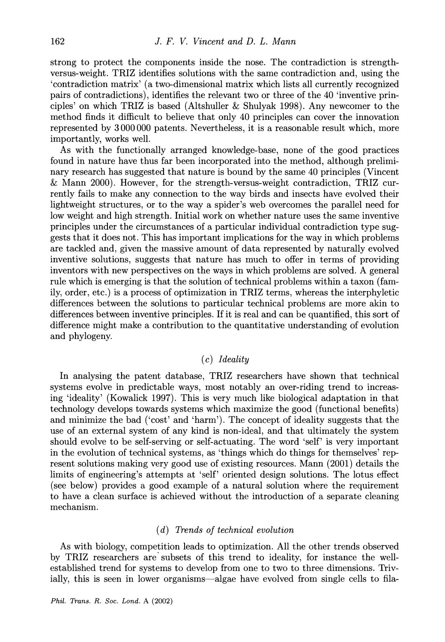**strong to protect the components inside the nose. The contradiction is strengthversus-weight. TRIZ identifies solutions with the same contradiction and, using the 'contradiction matrix' (a two-dimensional matrix which lists all currently recognized pairs of contradictions), identifies the relevant two or three of the 40 'inventive principles' on which TRIZ is based (Altshuller & Shulyak 1998). Any newcomer to the method finds it difficult to believe that only 40 principles can cover the innovation represented by 3 000 000 patents. Nevertheless, it is a reasonable result which, more importantly, works well.** 

**As with the functionally arranged knowledge-base, none of the good practices found in nature have thus far been incorporated into the method, although preliminary research has suggested that nature is bound by the same 40 principles (Vincent & Mann 2000). However, for the strength-versus-weight contradiction, TRIZ currently fails to make any connection to the way birds and insects have evolved their lightweight structures, or to the way a spider's web overcomes the parallel need for low weight and high strength. Initial work on whether nature uses the same inventive principles under the circumstances of a particular individual contradiction type suggests that it does not. This has important implications for the way in which problems are tackled and, given the massive amount of data represented by naturally evolved inventive solutions, suggests that nature has much to offer in terms of providing inventors with new perspectives on the ways in which problems are solved. A general rule which is emerging is that the solution of technical problems within a taxon (family, order, etc.) is a process of optimization in TRIZ terms, whereas the interphyletic differences between the solutions to particular technical problems are more akin to differences between inventive principles. If it is real and can be quantified, this sort of difference might make a contribution to the quantitative understanding of evolution and phylogeny.** 

### **(c) Ideality**

**In analysing the patent database, TRIZ researchers have shown that technical systems evolve in predictable ways, most notably an over-riding trend to increasing 'ideality' (Kowalick 1997). This is very much like biological adaptation in that technology develops towards systems which maximize the good (functional benefits) and minimize the bad ('cost' and 'harm'). The concept of ideality suggests that the use of an external system of any kind is non-ideal, and that ultimately the system should evolve to be self-serving or self-actuating. The word 'self' is very important in the evolution of technical systems, as 'things which do things for themselves' represent solutions making very good use of existing resources. Mann (2001) details the limits of engineering's attempts at 'self' oriented design solutions. The lotus effect (see below) provides a good example of a natural solution where the requirement to have a clean surface is achieved without the introduction of a separate cleaning mechanism.** 

### **(d) Trends of technical evolution**

**As with biology, competition leads to optimization. All the other trends observed by TRIZ researchers are subsets of this trend to ideality, for instance the wellestablished trend for systems to develop from one to two to three dimensions. Trivially, this is seen in lower organisms-algae have evolved from single cells to fila-**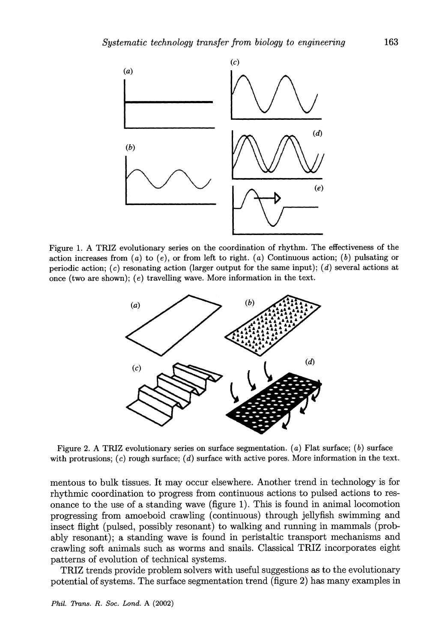

**Figure 1. A TRIZ evolutionary series on the coordination of rhythm. The effectiveness of the**  action increases from  $(a)$  to  $(e)$ , or from left to right.  $(a)$  Continuous action;  $(b)$  pulsating or periodic action;  $(c)$  resonating action (larger output for the same input);  $(d)$  several actions at **once (two are shown); (e) travelling wave. More information in the text.** 



Figure 2. A TRIZ evolutionary series on surface segmentation. (a) Flat surface; (b) surface with protrusions; (c) rough surface; (d) surface with active pores. More information in the text.

**mentous to bulk tissues. It may occur elsewhere. Another trend in technology is for rhythmic coordination to progress from continuous actions to pulsed actions to resonance to the use of a standing wave (figure 1). This is found in animal locomotion progressing from amoeboid crawling (continuous) through jellyfish swimming and insect flight (pulsed, possibly resonant) to walking and running in mammals (probably resonant); a standing wave is found in peristaltic transport mechanisms and crawling soft animals such as worms and snails. Classical TRIZ incorporates eight patterns of evolution of technical systems.** 

**TRIZ trends provide problem solvers with useful suggestions as to the evolutionary potential of systems. The surface segmentation trend (figure 2) has many examples in**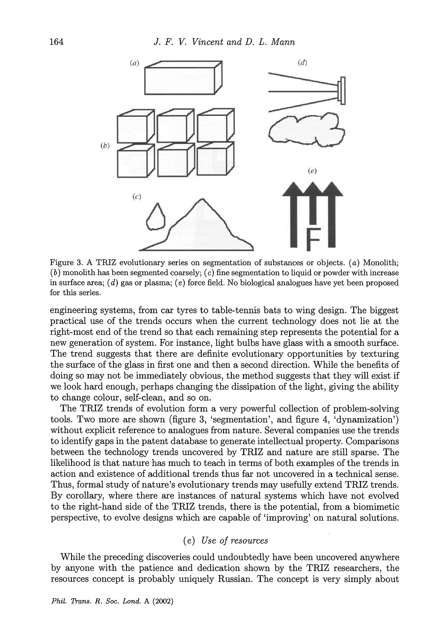

**Figure 3. A TRIZ evolutionary series on segmentation of substances or objects. (a) Monolith; (b) monolith has been segmented coarsely; (c) fine segmentation to liquid or powder with increase in surface area; (d) gas or plasma; (e) force field. No biological analogues have yet been proposed for this series.** 

**engineering systems, from car tyres to table-tennis bats to wing design. The biggest practical use of the trends occurs when the current technology does not lie at the right-most end of the trend so that each remaining step represents the potential for a new generation of system. For instance, light bulbs have glass with a smooth surface. The trend suggests that there are definite evolutionary opportunities by texturing the surface of the glass in first one and then a second direction. While the benefits of doing so may not be immediately obvious, the method suggests that they will exist if we look hard enough, perhaps changing the dissipation of the light, giving the ability to change colour, self-clean, and so on.** 

**The TRIZ trends of evolution form a very powerful collection of problem-solving tools. Two more are shown (figure 3, 'segmentation', and figure 4, 'dynamization') without explicit reference to analogues from nature. Several companies use the trends to identify gaps in the patent database to generate intellectual property. Comparisons between the technology trends uncovered by TRIZ and nature are still sparse. The likelihood is that nature has much to teach in terms of both examples of the trends in action and existence of additional trends thus far not uncovered in a technical sense. Thus, formal study of nature's evolutionary trends may usefully extend TRIZ trends. By corollary, where there are instances of natural systems which have not evolved to the right-hand side of the TRIZ trends, there is the potential, from a biomimetic perspective, to evolve designs which are capable of 'improving' on natural solutions.** 

### **(e) Use of resources**

**While the preceding discoveries could undoubtedly have been uncovered anywhere by anyone with the patience and dedication shown by the TRIZ researchers, the resources concept is probably uniquely Russian. The concept is very simply about**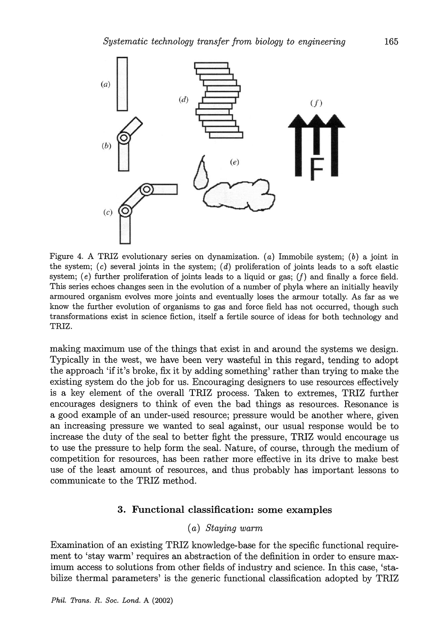

Figure 4. A TRIZ evolutionary series on dynamization. (a) Immobile system; (b) a joint in **the system; (c) several joints in the system; (d) proliferation of joints leads to a soft elastic system; (e) further proliferation of joints leads to a liquid or gas; (f) and finally a force field. This series echoes changes seen in the evolution of a number of phyla where an initially heavily armoured organism evolves more joints and eventually loses the armour totally. As far as we know the further evolution of organisms to gas and force field has not occurred, though such transformations exist in science fiction, itself a fertile source of ideas for both technology and TRIZ.** 

**making maximum use of the things that exist in and around the systems we design. Typically in the west, we have been very wasteful in this regard, tending to adopt the approach 'if it's broke, fix it by adding something' rather than trying to make the existing system do the job for us. Encouraging designers to use resources effectively is a key element of the overall TRIZ process. Taken to extremes, TRIZ further encourages designers to think of even the bad things as resources. Resonance is a good example of an under-used resource; pressure would be another where, given an increasing pressure we wanted to seal against, our usual response would be to increase the duty of the seal to better fight the pressure, TRIZ would encourage us to use the pressure to help form the seal. Nature, of course, through the medium of competition for resources, has been rather more effective in its drive to make best use of the least amount of resources, and thus probably has important lessons to communicate to the TRIZ method.** 

### **3. Functional classification: some examples**

# **(a) Staying warm**

**Examination of an existing TRIZ knowledge-base for the specific functional requirement to 'stay warm' requires an abstraction of the definition in order to ensure maximum access to solutions from other fields of industry and science. In this case, 'stabilize thermal parameters' is the generic functional classification adopted by TRIZ**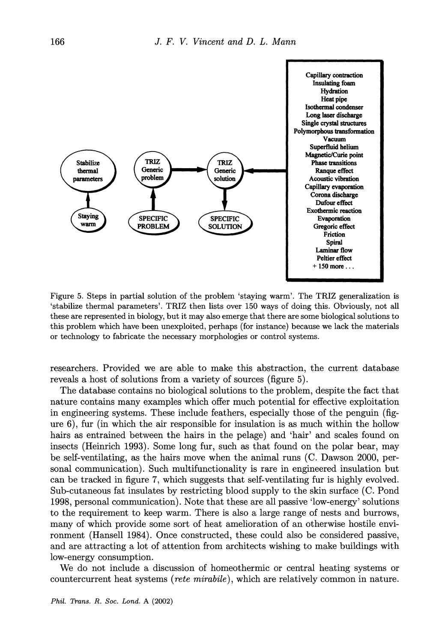

**Figure 5. Steps in partial solution of the problem 'staying warm'. The TRIZ generalization is 'stabilize thermal parameters'. TRIZ then lists over 150 ways of doing this. Obviously, not all these are represented in biology, but it may also emerge that there are some biological solutions to this problem which have been unexploited, perhaps (for instance) because we lack the materials or technology to fabricate the necessary morphologies or control systems.** 

**researchers. Provided we are able to make this abstraction, the current database reveals a host of solutions from a variety of sources (figure 5).** 

**The database contains no biological solutions to the problem, despite the fact that nature contains many examples which offer much potential for effective exploitation in engineering systems. These include feathers, especially those of the penguin (figure 6), fur (in which the air responsible for insulation is as much within the hollow hairs as entrained between the hairs in the pelage) and 'hair' and scales found on insects (Heinrich 1993). Some long fur, such as that found on the polar bear, may be self-ventilating, as the hairs move when the animal runs (C. Dawson 2000, personal communication). Such multifunctionality is rare in engineered insulation but can be tracked in figure 7, which suggests that self-ventilating fur is highly evolved. Sub-cutaneous fat insulates by restricting blood supply to the skin surface (C. Pond 1998, personal communication). Note that these are all passive 'low-energy' solutions to the requirement to keep warm. There is also a large range of nests and burrows, many of which provide some sort of heat amelioration of an otherwise hostile environment (Hansell 1984). Once constructed, these could also be considered passive, and are attracting a lot of attention from architects wishing to make buildings with low-energy consumption.** 

**We do not include a discussion of homeothermic or central heating systems or countercurrent heat systems (rete mirabile), which are relatively common in nature.**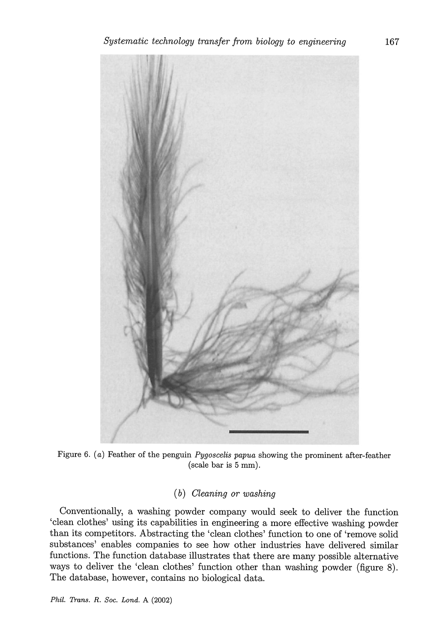

**Figure 6. (a) Feather of the penguin Pygoscelis papua showing the prominent after-feather (scale bar is 5 mm).** 

## **(b) Cleaning or washing**

**Conventionally, a washing powder company would seek to deliver the function 'clean clothes' using its capabilities in engineering a more effective washing powder than its competitors. Abstracting the 'clean clothes' function to one of 'remove solid substances' enables companies to see how other industries have delivered similar functions. The function database illustrates that there are many possible alternative ways to deliver the 'clean clothes' function other than washing powder (figure 8). The database, however, contains no biological data.**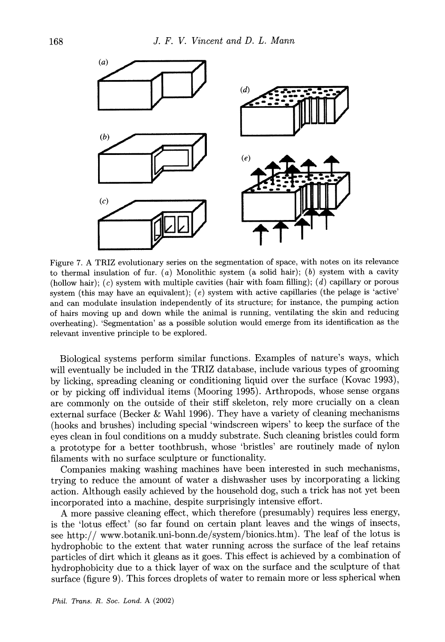

**Figure 7. A TRIZ evolutionary series on the segmentation of space, with notes on its relevance to thermal insulation of fur. (a) Monolithic system (a solid hair); (b) system with a cavity (hollow hair); (c) system with multiple cavities (hair with foam filling); (d) capillary or porous system (this may have an equivalent); (e) system with active capillaries (the pelage is 'active' and can modulate insulation independently of its structure; for instance, the pumping action of hairs moving up and down while the animal is running, ventilating the skin and reducing overheating). 'Segmentation' as a possible solution would emerge from its identification as the relevant inventive principle to be explored.** 

**Biological systems perform similar functions. Examples of nature's ways, which will eventually be included in the TRIZ database, include various types of grooming by licking, spreading cleaning or conditioning liquid over the surface (Kovac 1993), or by picking off individual items (Mooring 1995). Arthropods, whose sense organs are commonly on the outside of their stiff skeleton, rely more crucially on a clean external surface (Becker & Wahl 1996). They have a variety of cleaning mechanisms (hooks and brushes) including special 'windscreen wipers' to keep the surface of the eyes clean in foul conditions on a muddy substrate. Such cleaning bristles could form a prototype for a better toothbrush, whose 'bristles' are routinely made of nylon filaments with no surface sculpture or functionality.** 

**Companies making washing machines have been interested in such mechanisms, trying to reduce the amount of water a dishwasher uses by incorporating a licking action. Although easily achieved by the household dog, such a trick has not yet been incorporated into a machine, despite surprisingly intensive effort.** 

**A more passive cleaning effect, which therefore (presumably) requires less energy, is the 'lotus effect' (so far found on certain plant leaves and the wings of insects, see http:// www.botanik.uni-bonn.de/system/bionics.htm). The leaf of the lotus is hydrophobic to the extent that water running across the surface of the leaf retains particles of dirt which it gleans as it goes. This effect is achieved by a combination of hydrophobicity due to a thick layer of wax on the surface and the sculpture of that surface (figure 9). This forces droplets of water to remain more or less spherical when**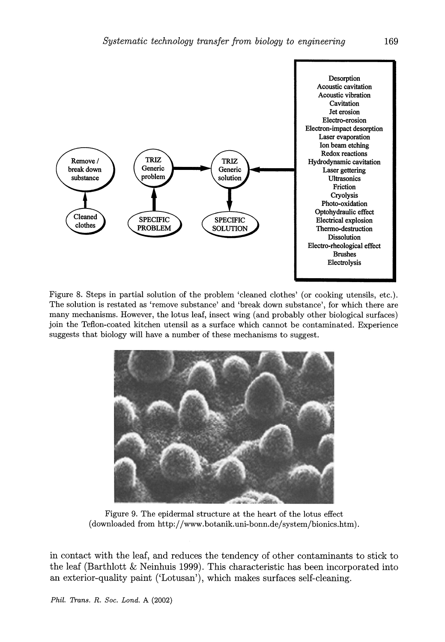

**Figure 8. Steps in partial solution of the problem 'cleaned clothes' (or cooking utensils, etc.). The solution is restated as 'remove substance' and 'break down substance', for which there are many mechanisms. However, the lotus leaf, insect wing (and probably other biological surfaces) join the Teflon-coated kitchen utensil as a surface which cannot be contaminated. Experience suggests that biology will have a number of these mechanisms to suggest.** 



**Figure 9. The epidermal structure at the heart of the lotus effect (downloaded from http://www.botanik.uni-bonn.de/system/bionics.htm).** 

**in contact with the leaf, and reduces the tendency of other contaminants to stick to the leaf (Barthlott & Neinhuis 1999). This characteristic has been incorporated into an exterior-quality paint ('Lotusan'), which makes surfaces self-cleaning.** 

**Phil. Trans. R. Soc. Lond. A (2002)**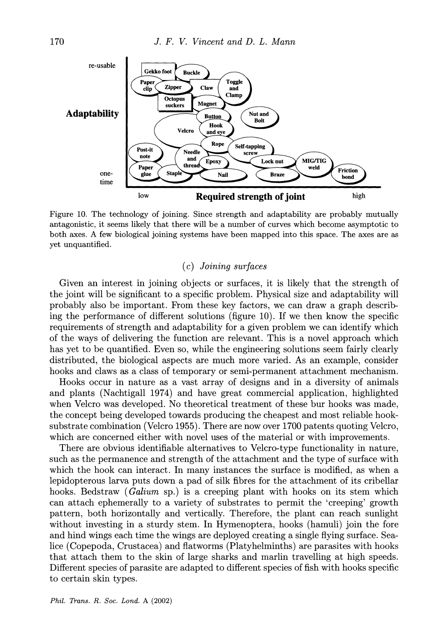

**Figure 10. The technology of joining. Since strength and adaptability are probably mutually antagonistic, it seems likely that there will be a number of curves which become asymptotic to both axes. A few biological joining systems have been mapped into this space. The axes are as yet unquantified.** 

### **(c) Joining surfaces**

**Given an interest in joining objects or surfaces, it is likely that the strength of the joint will be significant to a specific problem. Physical size and adaptability will probably also be important. From these key factors, we can draw a graph describing the performance of different solutions (figure 10). If we then know the specific requirements of strength and adaptability for a given problem we can identify which of the ways of delivering the function are relevant. This is a novel approach which has yet to be quantified. Even so, while the engineering solutions seem fairly clearly distributed, the biological aspects are much more varied. As an example, consider hooks and claws as a class of temporary or semi-permanent attachment mechanism.** 

**Hooks occur in nature as a vast array of designs and in a diversity of animals and plants (Nachtigall 1974) and have great commercial application, highlighted when Velcro was developed. No theoretical treatment of these bur hooks was made, the concept being developed towards producing the cheapest and most reliable hooksubstrate combination (Velcro 1955). There are now over 1700 patents quoting Velcro,**  which are concerned either with novel uses of the material or with improvements.

**There are obvious identifiable alternatives to Velcro-type functionality in nature, such as the permanence and strength of the attachment and the type of surface with which the hook can interact. In many instances the surface is modified, as when a lepidopterous larva puts down a pad of silk fibres for the attachment of its cribellar hooks. Bedstraw (Galium sp.) is a creeping plant with hooks on its stem which can attach ephemerally to a variety of substrates to permit the 'creeping' growth pattern, both horizontally and vertically. Therefore, the plant can reach sunlight without investing in a sturdy stem. In Hymenoptera, hooks (hamuli) join the fore and hind wings each time the wings are deployed creating a single flying surface. Sealice (Copepoda, Crustacea) and flatworms (Platyhelminths) are parasites with hooks that attach them to the skin of large sharks and marlin travelling at high speeds. Different species of parasite are adapted to different species of fish with hooks specific to certain skin types.** 

**170**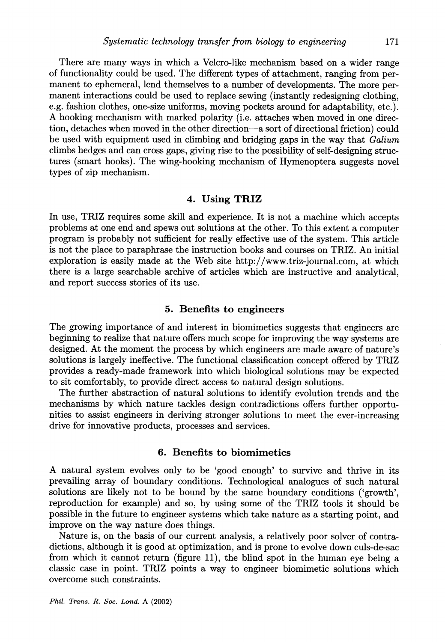**There are many ways in which a Velcro-like mechanism based on a wider range of functionality could be used. The different types of attachment, ranging from permanent to ephemeral, lend themselves to a number of developments. The more permanent interactions could be used to replace sewing (instantly redesigning clothing, e.g. fashion clothes, one-size uniforms, moving pockets around for adaptability, etc.). A hooking mechanism with marked polarity (i.e. attaches when moved in one direction, detaches when moved in the other direction-a sort of directional friction) could be used with equipment used in climbing and bridging gaps in the way that Galium climbs hedges and can cross gaps, giving rise to the possibility of self-designing structures (smart hooks). The wing-hooking mechanism of Hymenoptera suggests novel types of zip mechanism.** 

### **4. Using TRIZ**

**In use, TRIZ requires some skill and experience. It is not a machine which accepts problems at one end and spews out solutions at the other. To this extent a computer program is probably not sufficient for really effective use of the system. This article is not the place to paraphrase the instruction books and courses on TRIZ. An initial exploration is easily made at the Web site http://www.triz-journal.com, at which there is a large searchable archive of articles which are instructive and analytical, and report success stories of its use.** 

### **5. Benefits to engineers**

**The growing importance of and interest in biomimetics suggests that engineers are beginning to realize that nature offers much scope for improving the way systems are designed. At the moment the process by which engineers are made aware of nature's solutions is largely ineffective. The functional classification concept offered by TRIZ provides a ready-made framework into which biological solutions may be expected to sit comfortably, to provide direct access to natural design solutions.** 

**The further abstraction of natural solutions to identify evolution trends and the mechanisms by which nature tackles design contradictions offers further opportunities to assist engineers in deriving stronger solutions to meet the ever-increasing drive for innovative products, processes and services.** 

### **6. Benefits to biomimetics**

**A natural system evolves only to be 'good enough' to survive and thrive in its prevailing array of boundary conditions. Technological analogues of such natural solutions are likely not to be bound by the same boundary conditions ('growth', reproduction for example) and so, by using some of the TRIZ tools it should be possible in the future to engineer systems which take nature as a starting point, and improve on the way nature does things.** 

**Nature is, on the basis of our current analysis, a relatively poor solver of contradictions, although it is good at optimization, and is prone to evolve down culs-de-sac from which it cannot return (figure 11), the blind spot in the human eye being a classic case in point. TRIZ points a way to engineer biomimetic solutions which overcome such constraints.** 

**Phil. Trans. R. Soc. Lond. A (2002)**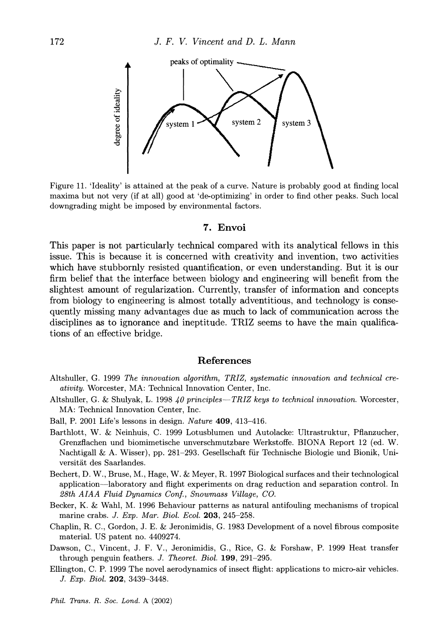

**Figure 11. 'Ideality' is attained at the peak of a curve. Nature is probably good at finding local maxima but not very (if at all) good at 'de-optimizing' in order to find other peaks. Such local downgrading might be imposed by environmental factors.** 

#### **7. Envoi**

**This paper is not particularly technical compared with its analytical fellows in this issue. This is because it is concerned with creativity and invention, two activities which have stubbornly resisted quantification, or even understanding. But it is our firm belief that the interface between biology and engineering will benefit from the slightest amount of regularization. Currently, transfer of information and concepts from biology to engineering is almost totally adventitious, and technology is consequently missing many advantages due as much to lack of communication across the disciplines as to ignorance and ineptitude. TRIZ seems to have the main qualifications of an effective bridge.** 

#### **References**

- **Altshuller, G. 1999 The innovation algorithm, TRIZ, systematic innovation and technical creativity. Worcester, MA: Technical Innovation Center, Inc.**
- **Altshuller, G. & Shulyak, L. 1998 40 principles-TRIZ keys to technical innovation. Worcester, MA: Technical Innovation Center, Inc.**
- **Ball, P. 2001 Life's lessons in design. Nature 409, 413-416.**
- **Barthlott, W. & Neinhuis, C. 1999 Lotusblumen und Autolacke: Ultrastruktur, Pflanzucher, Grenzflachen und biomimetische unverschmutzbare Werkstoffe. BIONA Report 12 (ed. W.**  Nachtigall & A. Wisser), pp. 281-293. Gesellschaft für Technische Biologie und Bionik, Uni**versitat des Saarlandes.**
- **Bechert, D. W., Bruse, M., Hage, W. & Meyer, R. 1997 Biological surfaces and their technological application-laboratory and flight experiments on drag reduction and separation control. In 28th AIAA Fluid Dynamics Conf., Snowmass Village, CO.**
- **Becker, K. & Wahl, M. 1996 Behaviour patterns as natural antifouling mechanisms of tropical marine crabs. J. Exp. Mar. Biol. Ecol. 203, 245-258.**
- **Chaplin, R. C., Gordon, J. E. & Jeronimidis, G. 1983 Development of a novel fibrous composite material. US patent no. 4409274.**
- **Dawson, C., Vincent, J. F. V., Jeronimidis, G., Rice, G. & Forshaw, P. 1999 Heat transfer through penguin feathers. J. Theoret. Biol. 199, 291-295.**
- **Ellington, C. P. 1999 The novel aerodynamics of insect flight: applications to micro-air vehicles. J. Exp. Biol. 202, 3439-3448.**